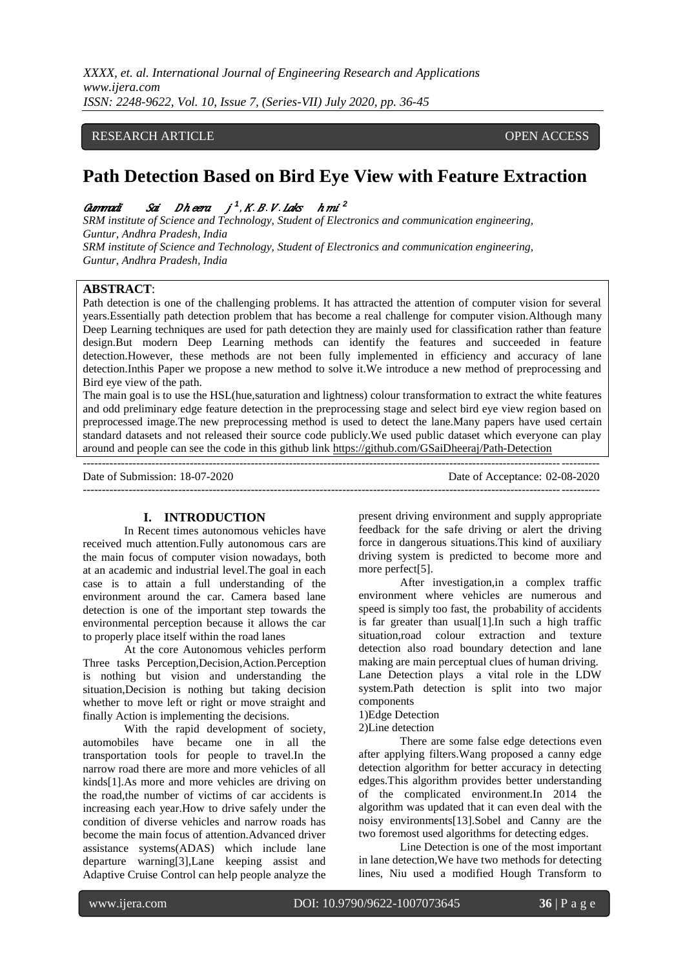## RESEARCH ARTICLE **CONSERVERS** OPEN ACCESS

# **Path Detection Based on Bird Eye View with Feature Extraction**

# Gummadi Sai Dheera j<sup>1</sup>, K. B. V. Laks h mi<sup>2</sup>

*SRM institute of Science and Technology, Student of Electronics and communication engineering, Guntur, Andhra Pradesh, India SRM institute of Science and Technology, Student of Electronics and communication engineering, Guntur, Andhra Pradesh, India*

## **ABSTRACT**:

Path detection is one of the challenging problems. It has attracted the attention of computer vision for several years.Essentially path detection problem that has become a real challenge for computer vision.Although many Deep Learning techniques are used for path detection they are mainly used for classification rather than feature design.But modern Deep Learning methods can identify the features and succeeded in feature detection.However, these methods are not been fully implemented in efficiency and accuracy of lane detection.Inthis Paper we propose a new method to solve it.We introduce a new method of preprocessing and Bird eye view of the path.

The main goal is to use the HSL(hue,saturation and lightness) colour transformation to extract the white features and odd preliminary edge feature detection in the preprocessing stage and select bird eye view region based on preprocessed image.The new preprocessing method is used to detect the lane.Many papers have used certain standard datasets and not released their source code publicly.We used public dataset which everyone can play around and people can see the code in this github link [https://github.com/GSaiDheeraj/Path-Detection](https://github.com/GSaiDheeraj/Lane-Detection)

--------------------------------------------------------------------------------------------------------------------------------------- Date of Submission: 18-07-2020 Date of Acceptance: 02-08-2020 ---------------------------------------------------------------------------------------------------------------------------------------

## **I. INTRODUCTION**

In Recent times autonomous vehicles have received much attention.Fully autonomous cars are the main focus of computer vision nowadays, both at an academic and industrial level.The goal in each case is to attain a full understanding of the environment around the car. Camera based lane detection is one of the important step towards the environmental perception because it allows the car to properly place itself within the road lanes

At the core Autonomous vehicles perform Three tasks Perception,Decision,Action.Perception is nothing but vision and understanding the situation,Decision is nothing but taking decision whether to move left or right or move straight and finally Action is implementing the decisions.

With the rapid development of society, automobiles have became one in all the transportation tools for people to travel.In the narrow road there are more and more vehicles of all kinds[1].As more and more vehicles are driving on the road,the number of victims of car accidents is increasing each year.How to drive safely under the condition of diverse vehicles and narrow roads has become the main focus of attention.Advanced driver assistance systems(ADAS) which include lane departure warning[3],Lane keeping assist and Adaptive Cruise Control can help people analyze the

present driving environment and supply appropriate feedback for the safe driving or alert the driving force in dangerous situations.This kind of auxiliary driving system is predicted to become more and more perfect[5].

After investigation,in a complex traffic environment where vehicles are numerous and speed is simply too fast, the probability of accidents is far greater than usual[1].In such a high traffic situation,road colour extraction and texture detection also road boundary detection and lane making are main perceptual clues of human driving. Lane Detection plays a vital role in the LDW system.Path detection is split into two major components

## 1)Edge Detection

2)Line detection

There are some false edge detections even after applying filters.Wang proposed a canny edge detection algorithm for better accuracy in detecting edges.This algorithm provides better understanding of the complicated environment.In 2014 the algorithm was updated that it can even deal with the noisy environments[13].Sobel and Canny are the two foremost used algorithms for detecting edges.

Line Detection is one of the most important in lane detection,We have two methods for detecting lines, Niu used a modified Hough Transform to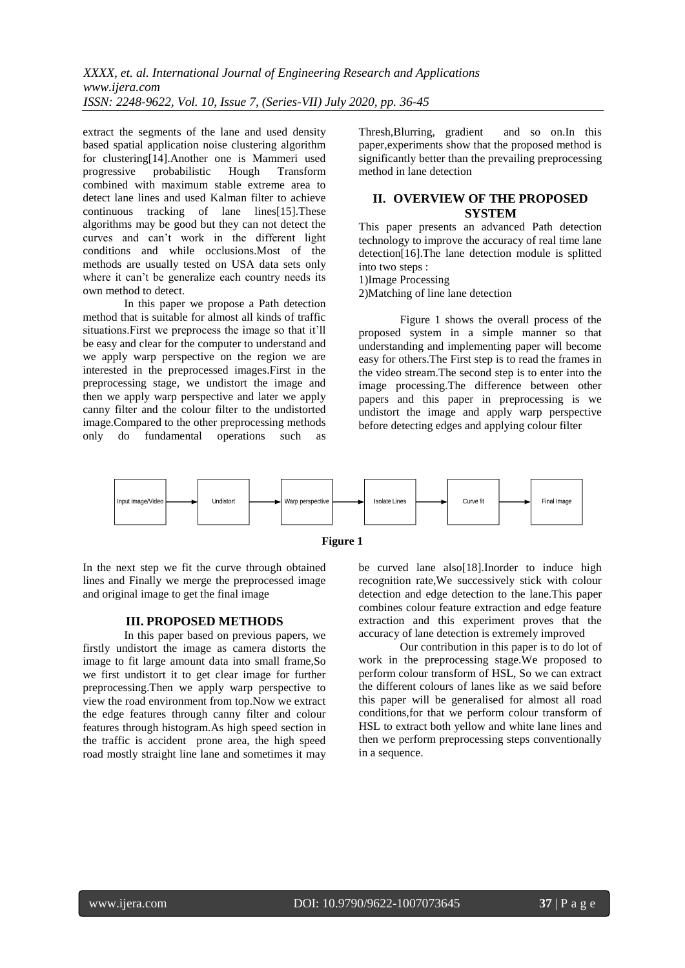extract the segments of the lane and used density based spatial application noise clustering algorithm for clustering[14].Another one is Mammeri used progressive probabilistic Hough Transform combined with maximum stable extreme area to detect lane lines and used Kalman filter to achieve continuous tracking of lane lines[15].These algorithms may be good but they can not detect the curves and can't work in the different light conditions and while occlusions.Most of the methods are usually tested on USA data sets only where it can't be generalize each country needs its own method to detect.

In this paper we propose a Path detection method that is suitable for almost all kinds of traffic situations.First we preprocess the image so that it'll be easy and clear for the computer to understand and we apply warp perspective on the region we are interested in the preprocessed images.First in the preprocessing stage, we undistort the image and then we apply warp perspective and later we apply canny filter and the colour filter to the undistorted image.Compared to the other preprocessing methods only do fundamental operations such as Thresh,Blurring, gradient and so on.In this paper,experiments show that the proposed method is significantly better than the prevailing preprocessing method in lane detection

## **II. OVERVIEW OF THE PROPOSED SYSTEM**

This paper presents an advanced Path detection technology to improve the accuracy of real time lane detection[16].The lane detection module is splitted into two steps :

1)Image Processing

2)Matching of line lane detection

Figure 1 shows the overall process of the proposed system in a simple manner so that understanding and implementing paper will become easy for others.The First step is to read the frames in the video stream.The second step is to enter into the image processing.The difference between other papers and this paper in preprocessing is we undistort the image and apply warp perspective before detecting edges and applying colour filter





In the next step we fit the curve through obtained lines and Finally we merge the preprocessed image and original image to get the final image

## **III. PROPOSED METHODS**

In this paper based on previous papers, we firstly undistort the image as camera distorts the image to fit large amount data into small frame,So we first undistort it to get clear image for further preprocessing.Then we apply warp perspective to view the road environment from top.Now we extract the edge features through canny filter and colour features through histogram.As high speed section in the traffic is accident prone area, the high speed road mostly straight line lane and sometimes it may be curved lane also[18].Inorder to induce high recognition rate,We successively stick with colour detection and edge detection to the lane.This paper combines colour feature extraction and edge feature extraction and this experiment proves that the accuracy of lane detection is extremely improved

Our contribution in this paper is to do lot of work in the preprocessing stage.We proposed to perform colour transform of HSL, So we can extract the different colours of lanes like as we said before this paper will be generalised for almost all road conditions,for that we perform colour transform of HSL to extract both yellow and white lane lines and then we perform preprocessing steps conventionally in a sequence.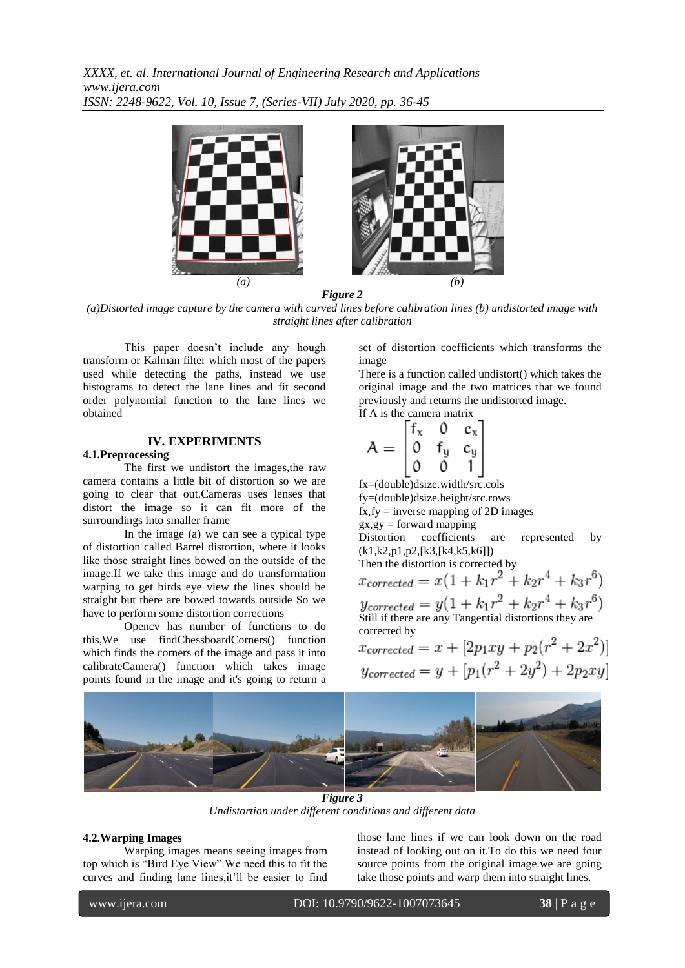

*Figure 2*

*(a)Distorted image capture by the camera with curved lines before calibration lines (b) undistorted image with straight lines after calibration*

This paper doesn't include any hough transform or Kalman filter which most of the papers used while detecting the paths, instead we use histograms to detect the lane lines and fit second order polynomial function to the lane lines we obtained

## **IV. EXPERIMENTS**

#### **4.1.Preprocessing**

The first we undistort the images,the raw camera contains a little bit of distortion so we are going to clear that out.Cameras uses lenses that distort the image so it can fit more of the surroundings into smaller frame

In the image (a) we can see a typical type of distortion called Barrel distortion, where it looks like those straight lines bowed on the outside of the image.If we take this image and do transformation warping to get birds eye view the lines should be straight but there are bowed towards outside So we have to perform some distortion corrections

Opencv has number of functions to do this,We use findChessboardCorners() function which finds the corners of the image and pass it into calibrateCamera() function which takes image points found in the image and it's going to return a

set of distortion coefficients which transforms the image

There is a function called undistort() which takes the original image and the two matrices that we found previously and returns the undistorted image. If A is the camera matrix

$$
A = \begin{bmatrix} f_x & 0 & c_x \\ 0 & f_y & c_y \\ 0 & 0 & 1 \end{bmatrix}
$$

fx=(double)dsize.width/src.cols fy=(double)dsize.height/src.rows  $fx, fy = inverse mapping of 2D images$  $gx, gy = forward mapping$ Distortion coefficients are represented by (k1,k2,p1,p2,[k3,[k4,k5,k6]]) Then the distortion is corrected by<br> $x_{corrected} = x(1 + k_1r^2 + k_2r^4 + k_3r^6)$  $y_{corrected} = y(1 + k_1r^2 + k_2r^4 + k_3r^6)$ Still if there are any Tangential distortions they are corrected by

$$
x_{corrected} = x + [2p_1xy + p_2(r^2 + 2x^2)]
$$
  

$$
y_{corrected} = y + [p_1(r^2 + 2y^2) + 2p_2xy]
$$



*Figure 3 Undistortion under different conditions and different data*

#### **4.2.Warping Images**

Warping images means seeing images from top which is "Bird Eye View".We need this to fit the curves and finding lane lines,it'll be easier to find those lane lines if we can look down on the road instead of looking out on it.To do this we need four source points from the original image.we are going take those points and warp them into straight lines.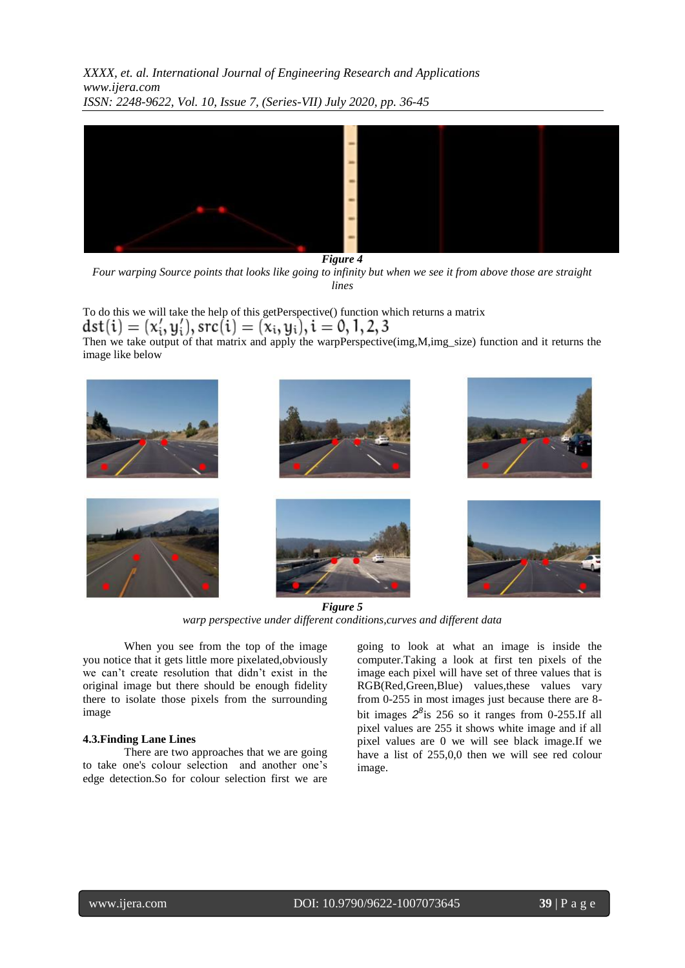

*Figure 4*

*Four warping Source points that looks like going to infinity but when we see it from above those are straight lines* 

To do this we will take the help of this getPerspective() function which returns a matrix  $dst(i) = (x'_i, y'_i), src(i) = (x_i, y_i), i = 0, 1, 2, 3$ Then we take output of that matrix and apply the warpPerspective(img,M,img\_size) function and it returns the image like below



*Figure 5 warp perspective under different conditions,curves and different data*

When you see from the top of the image you notice that it gets little more pixelated,obviously we can't create resolution that didn't exist in the original image but there should be enough fidelity there to isolate those pixels from the surrounding image

## **4.3.Finding Lane Lines**

There are two approaches that we are going to take one's colour selection and another one's edge detection.So for colour selection first we are

going to look at what an image is inside the computer.Taking a look at first ten pixels of the image each pixel will have set of three values that is RGB(Red,Green,Blue) values,these values vary from 0-255 in most images just because there are 8 bit images  $2^{8}$  is 256 so it ranges from 0-255.If all pixel values are 255 it shows white image and if all pixel values are 0 we will see black image.If we have a list of 255,0,0 then we will see red colour image.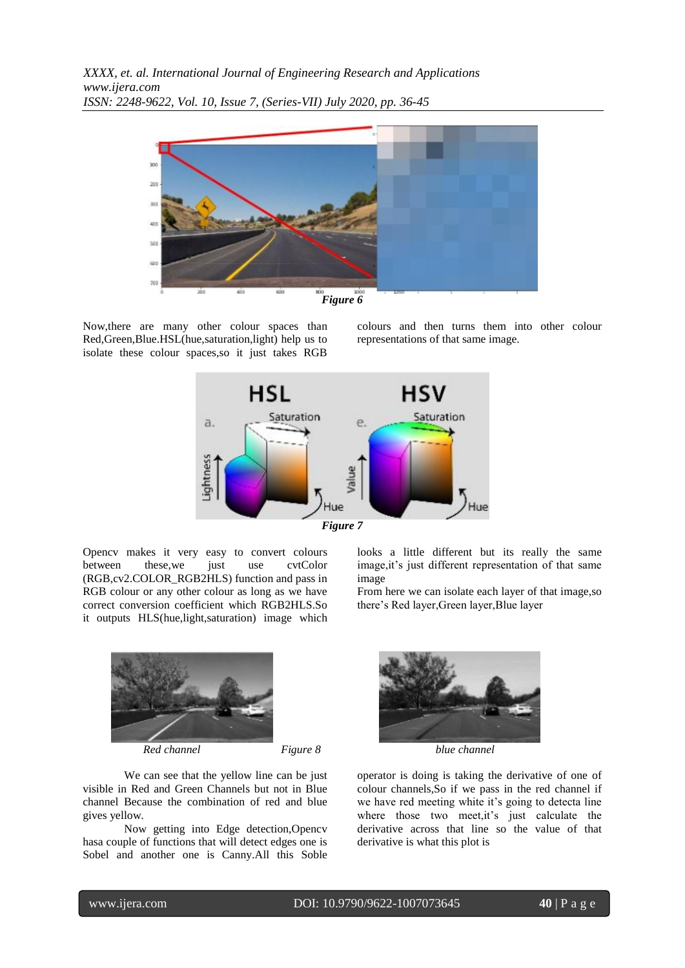

*Figure 6*

Now,there are many other colour spaces than Red,Green,Blue.HSL(hue,saturation,light) help us to isolate these colour spaces,so it just takes RGB colours and then turns them into other colour representations of that same image.





Opencv makes it very easy to convert colours between these, we just use cvtColor (RGB,cv2.COLOR\_RGB2HLS) function and pass in RGB colour or any other colour as long as we have correct conversion coefficient which RGB2HLS.So it outputs HLS(hue,light,saturation) image which

looks a little different but its really the same image,it's just different representation of that same image

From here we can isolate each layer of that image,so there's Red layer,Green layer,Blue layer



We can see that the yellow line can be just visible in Red and Green Channels but not in Blue channel Because the combination of red and blue gives yellow.

Now getting into Edge detection,Opencv hasa couple of functions that will detect edges one is Sobel and another one is Canny.All this Soble



operator is doing is taking the derivative of one of colour channels,So if we pass in the red channel if we have red meeting white it's going to detecta line where those two meet, it's just calculate the derivative across that line so the value of that derivative is what this plot is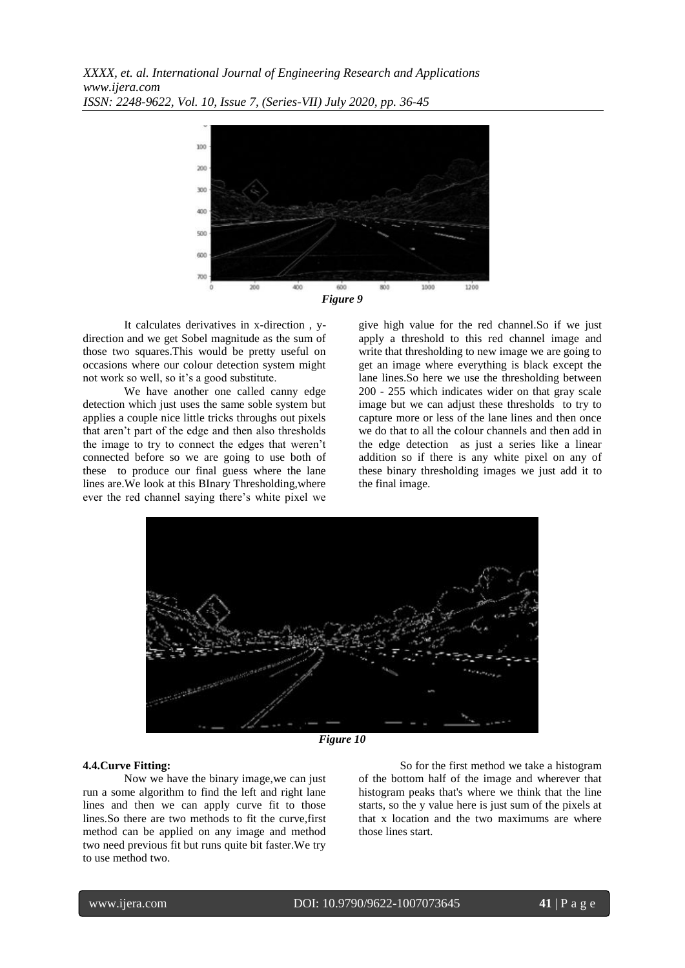

It calculates derivatives in x-direction , ydirection and we get Sobel magnitude as the sum of those two squares.This would be pretty useful on occasions where our colour detection system might not work so well, so it's a good substitute.

We have another one called canny edge detection which just uses the same soble system but applies a couple nice little tricks throughs out pixels that aren't part of the edge and then also thresholds the image to try to connect the edges that weren't connected before so we are going to use both of these to produce our final guess where the lane lines are.We look at this BInary Thresholding,where ever the red channel saying there's white pixel we give high value for the red channel.So if we just apply a threshold to this red channel image and write that thresholding to new image we are going to get an image where everything is black except the lane lines.So here we use the thresholding between 200 - 255 which indicates wider on that gray scale image but we can adjust these thresholds to try to capture more or less of the lane lines and then once we do that to all the colour channels and then add in the edge detection as just a series like a linear addition so if there is any white pixel on any of these binary thresholding images we just add it to the final image.



*Figure 10*

### **4.4.Curve Fitting:**

Now we have the binary image,we can just run a some algorithm to find the left and right lane lines and then we can apply curve fit to those lines.So there are two methods to fit the curve,first method can be applied on any image and method two need previous fit but runs quite bit faster.We try to use method two.

So for the first method we take a histogram of the bottom half of the image and wherever that histogram peaks that's where we think that the line starts, so the y value here is just sum of the pixels at that x location and the two maximums are where those lines start.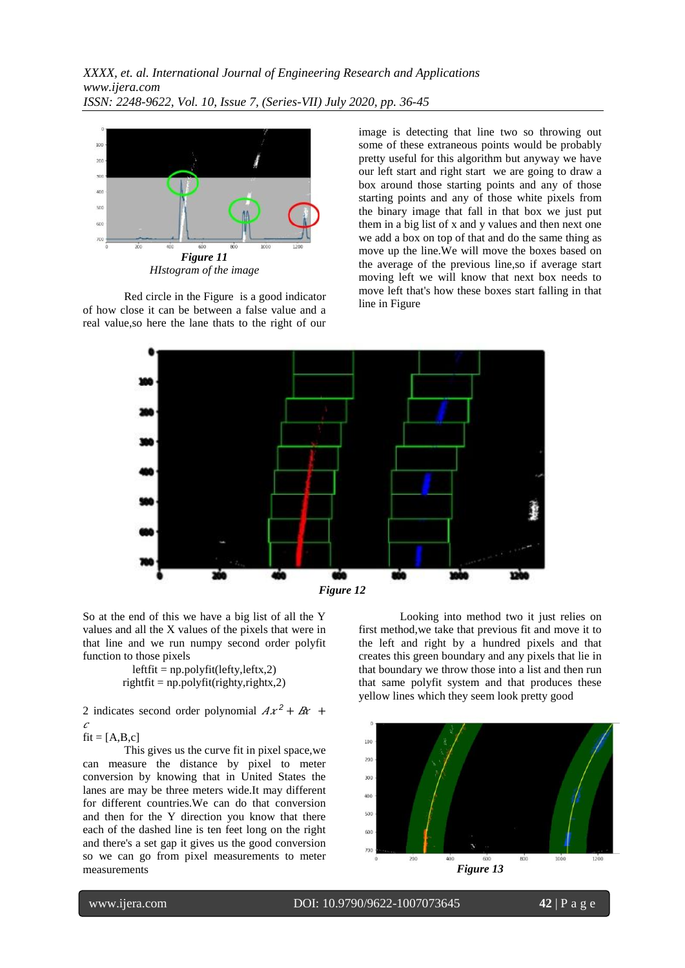

Red circle in the Figure is a good indicator of how close it can be between a false value and a real value,so here the lane thats to the right of our

image is detecting that line two so throwing out some of these extraneous points would be probably pretty useful for this algorithm but anyway we have our left start and right start we are going to draw a box around those starting points and any of those starting points and any of those white pixels from the binary image that fall in that box we just put them in a big list of x and y values and then next one we add a box on top of that and do the same thing as move up the line.We will move the boxes based on the average of the previous line,so if average start moving left we will know that next box needs to move left that's how these boxes start falling in that line in Figure



So at the end of this we have a big list of all the Y values and all the X values of the pixels that were in that line and we run numpy second order polyfit function to those pixels

> $leftit = np.polyfit(lefty, leftx,2)$  $rightfit = np.polyfit(righty, right, z)$

2 indicates second order polynomial  $Ax^{2} + Bx +$  $\mathcal{C}_{0}$ 

 $fit = [A,B,c]$ 

This gives us the curve fit in pixel space,we can measure the distance by pixel to meter conversion by knowing that in United States the lanes are may be three meters wide.It may different for different countries.We can do that conversion and then for the Y direction you know that there each of the dashed line is ten feet long on the right and there's a set gap it gives us the good conversion so we can go from pixel measurements to meter measurements

Looking into method two it just relies on first method,we take that previous fit and move it to the left and right by a hundred pixels and that creates this green boundary and any pixels that lie in that boundary we throw those into a list and then run that same polyfit system and that produces these yellow lines which they seem look pretty good

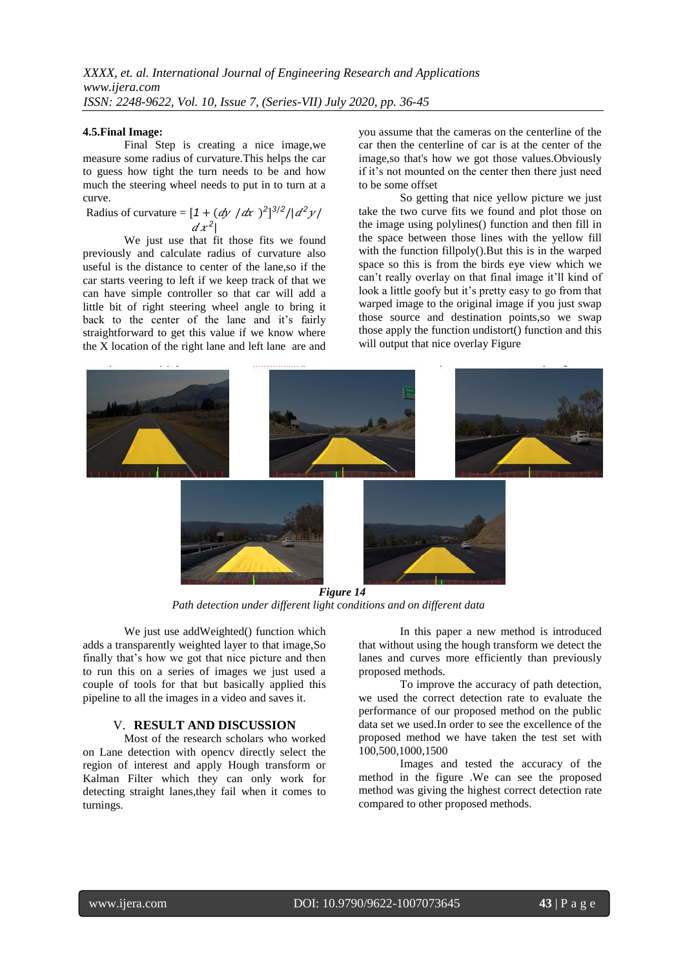#### **4.5.Final Image:**

Final Step is creating a nice image,we measure some radius of curvature.This helps the car to guess how tight the turn needs to be and how much the steering wheel needs to put in to turn at a curve.

Radius of curvature =  $[1 + (dy / dx)^2]^{3/2}/|d^2y/$  $dx^2$ 

We just use that fit those fits we found previously and calculate radius of curvature also useful is the distance to center of the lane,so if the car starts veering to left if we keep track of that we can have simple controller so that car will add a little bit of right steering wheel angle to bring it back to the center of the lane and it's fairly straightforward to get this value if we know where the X location of the right lane and left lane are and you assume that the cameras on the centerline of the car then the centerline of car is at the center of the image,so that's how we got those values.Obviously if it's not mounted on the center then there just need to be some offset

So getting that nice yellow picture we just take the two curve fits we found and plot those on the image using polylines() function and then fill in the space between those lines with the yellow fill with the function fillpoly().But this is in the warped space so this is from the birds eye view which we can't really overlay on that final image it'll kind of look a little goofy but it's pretty easy to go from that warped image to the original image if you just swap those source and destination points,so we swap those apply the function undistort() function and this will output that nice overlay Figure



*Figure 14 Path detection under different light conditions and on different data* 

We just use addWeighted() function which adds a transparently weighted layer to that image,So finally that's how we got that nice picture and then to run this on a series of images we just used a couple of tools for that but basically applied this pipeline to all the images in a video and saves it.

## V. **RESULT AND DISCUSSION**

Most of the research scholars who worked on Lane detection with opencv directly select the region of interest and apply Hough transform or Kalman Filter which they can only work for detecting straight lanes,they fail when it comes to turnings.

In this paper a new method is introduced that without using the hough transform we detect the lanes and curves more efficiently than previously proposed methods.

To improve the accuracy of path detection, we used the correct detection rate to evaluate the performance of our proposed method on the public data set we used.In order to see the excellence of the proposed method we have taken the test set with 100,500,1000,1500

Images and tested the accuracy of the method in the figure .We can see the proposed method was giving the highest correct detection rate compared to other proposed methods.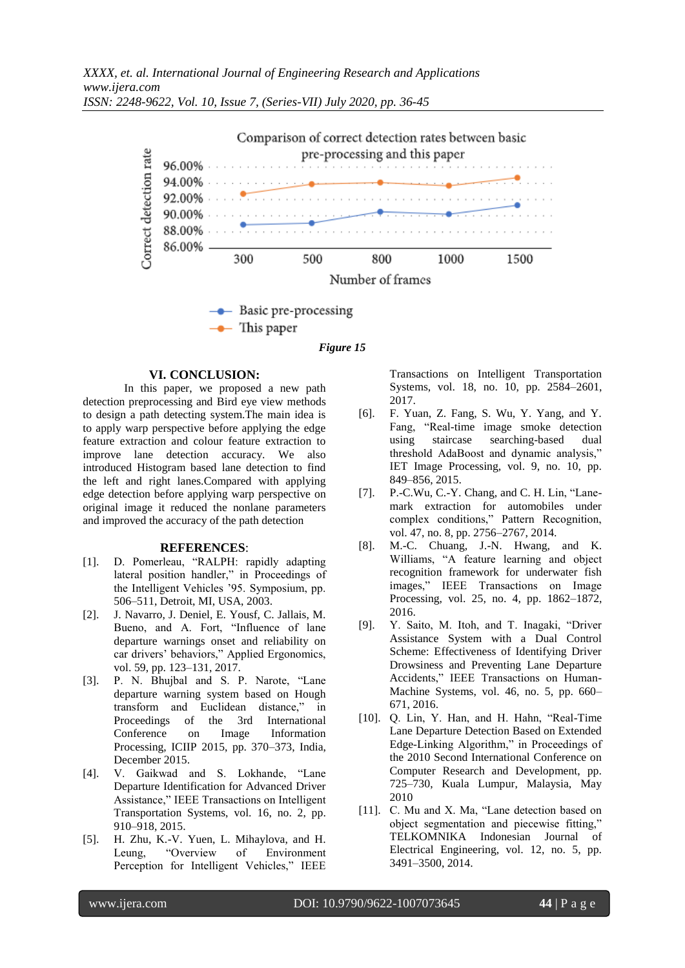

 $\rightarrow$  This paper

*Figure 15*

## **VI. CONCLUSION:**

In this paper, we proposed a new path detection preprocessing and Bird eye view methods to design a path detecting system.The main idea is to apply warp perspective before applying the edge feature extraction and colour feature extraction to improve lane detection accuracy. We also introduced Histogram based lane detection to find the left and right lanes.Compared with applying edge detection before applying warp perspective on original image it reduced the nonlane parameters and improved the accuracy of the path detection

#### **REFERENCES**:

- [1]. D. Pomerleau, "RALPH: rapidly adapting lateral position handler," in Proceedings of the Intelligent Vehicles '95. Symposium, pp. 506–511, Detroit, MI, USA, 2003.
- [2]. J. Navarro, J. Deniel, E. Yousf, C. Jallais, M. Bueno, and A. Fort, "Influence of lane departure warnings onset and reliability on car drivers' behaviors," Applied Ergonomics, vol. 59, pp. 123–131, 2017.
- [3]. P. N. Bhujbal and S. P. Narote, "Lane departure warning system based on Hough transform and Euclidean distance," in Proceedings of the 3rd International Conference on Image Information Processing, ICIIP 2015, pp. 370–373, India, December 2015.
- [4]. V. Gaikwad and S. Lokhande, "Lane Departure Identification for Advanced Driver Assistance," IEEE Transactions on Intelligent Transportation Systems, vol. 16, no. 2, pp. 910–918, 2015.
- [5]. H. Zhu, K.-V. Yuen, L. Mihaylova, and H. Leung, "Overview of Environment Perception for Intelligent Vehicles," IEEE

Transactions on Intelligent Transportation Systems, vol. 18, no. 10, pp. 2584–2601, 2017.

- [6]. F. Yuan, Z. Fang, S. Wu, Y. Yang, and Y. Fang, "Real-time image smoke detection using staircase searching-based dual threshold AdaBoost and dynamic analysis," IET Image Processing, vol. 9, no. 10, pp. 849–856, 2015.
- [7]. P.-C.Wu, C.-Y. Chang, and C. H. Lin, "Lanemark extraction for automobiles under complex conditions," Pattern Recognition, vol. 47, no. 8, pp. 2756–2767, 2014.
- [8]. M.-C. Chuang, J.-N. Hwang, and K. Williams, "A feature learning and object recognition framework for underwater fish images," IEEE Transactions on Image Processing, vol. 25, no. 4, pp. 1862–1872, 2016.
- [9]. Y. Saito, M. Itoh, and T. Inagaki, "Driver Assistance System with a Dual Control Scheme: Effectiveness of Identifying Driver Drowsiness and Preventing Lane Departure Accidents," IEEE Transactions on Human-Machine Systems, vol. 46, no. 5, pp. 660– 671, 2016.
- [10]. Q. Lin, Y. Han, and H. Hahn, "Real-Time Lane Departure Detection Based on Extended Edge-Linking Algorithm," in Proceedings of the 2010 Second International Conference on Computer Research and Development, pp. 725–730, Kuala Lumpur, Malaysia, May 2010
- [11]. C. Mu and X. Ma, "Lane detection based on object segmentation and piecewise fitting," TELKOMNIKA Indonesian Journal of Electrical Engineering, vol. 12, no. 5, pp. 3491–3500, 2014.